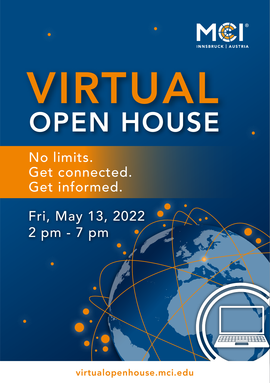

 $HHHH$ 

# VIRTUAL OPEN HOUSE

No limits. Get connected. Get informed.

Fri, May 13, 2022 2 pm - 7 pm

virtualopenhouse.mci.edu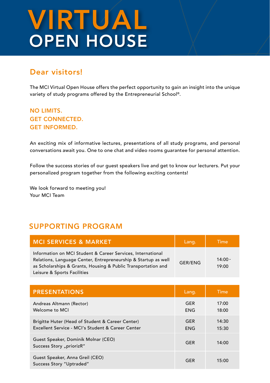# VIRTUAL OPEN HOUSE

# Dear visitors!

The MCI Virtual Open House offers the perfect opportunity to gain an insight into the unique variety of study programs offered by the Entrepreneurial School®.

#### NO LIMITS. GET CONNECTED. GET INFORMED.

An exciting mix of informative lectures, presentations of all study programs, and personal conversations await you. One to one chat and video rooms guarantee for personal attention.

Follow the success stories of our guest speakers live and get to know our lecturers. Put your personalized program together from the following exciting contents!

We look forward to meeting you! Your MCI Team

## SUPPORTING PROGRAM

| <b>MCI SERVICES &amp; MARKET</b>                                                                                                                                                                                              | Lang.   | <b>Time</b>        |
|-------------------------------------------------------------------------------------------------------------------------------------------------------------------------------------------------------------------------------|---------|--------------------|
| Information on MCI Student & Career Services, International<br>Relations, Language Center, Entrepreneurship & Startup as well<br>as Scholarships & Grants, Housing & Public Transportation and<br>Leisure & Sports Facilities | GER/ENG | $14:00 -$<br>19:00 |

| <b>PRESENTATIONS</b>                                                                                  | Lang.                    | Time           |
|-------------------------------------------------------------------------------------------------------|--------------------------|----------------|
| Andreas Altmann (Rector)<br>Welcome to MCI                                                            | <b>GER</b><br><b>ENG</b> | 17:00<br>18:00 |
| Brigitte Huter (Head of Student & Career Center)<br>Excellent Service - MCI's Student & Career Center | <b>GER</b><br><b>ENG</b> | 14:30<br>15:30 |
| Guest Speaker, Dominik Molnar (CEO)<br>Success Story "priorizR"                                       | <b>GER</b>               | 14:00          |
| Guest Speaker, Anna Greil (CEO)<br>Success Story "Uptraded"                                           | <b>GER</b>               | 15:00          |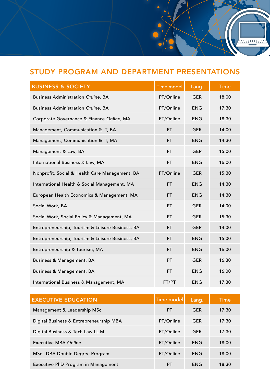# STUDY PROGRAM AND DEPARTMENT PRESENTATIONS

,,,,,,,,,,,,,,,

| <b>BUSINESS &amp; SOCIETY</b>                    | <b>Time model</b> | Lang.      | Time  |
|--------------------------------------------------|-------------------|------------|-------|
| <b>Business Administration Online, BA</b>        | PT/Online         | <b>GER</b> | 18:00 |
| <b>Business Administration Online, BA</b>        | PT/Online         | <b>ENG</b> | 17:30 |
| Corporate Governance & Finance Online, MA        | PT/Online         | <b>ENG</b> | 18:30 |
| Management, Communication & IT, BA               | <b>FT</b>         | <b>GER</b> | 14:00 |
| Management, Communication & IT, MA               | FT.               | <b>ENG</b> | 14:30 |
| Management & Law, BA                             | <b>FT</b>         | <b>GER</b> | 15:00 |
| International Business & Law, MA                 | <b>FT</b>         | <b>ENG</b> | 16:00 |
| Nonprofit, Social & Health Care Management, BA   | FT/Online         | <b>GER</b> | 15:30 |
| International Health & Social Management, MA     | FT.               | <b>ENG</b> | 14:30 |
| European Health Economics & Management, MA       | FT.               | <b>ENG</b> | 14:30 |
| Social Work, BA                                  | FT.               | <b>GER</b> | 14:00 |
| Social Work, Social Policy & Management, MA      | FT.               | <b>GER</b> | 15:30 |
| Entrepreneurship, Tourism & Leisure Business, BA | FT.               | <b>GER</b> | 14:00 |
| Entrepreneurship, Tourism & Leisure Business, BA | FT.               | <b>ENG</b> | 15:00 |
| Entrepreneurship & Tourism, MA                   | FT.               | <b>ENG</b> | 16:00 |
| Business & Management, BA                        | <b>PT</b>         | <b>GER</b> | 16:30 |
| Business & Management, BA                        | FT.               | <b>ENG</b> | 16:00 |
| International Business & Management, MA          | FT/PT             | <b>ENG</b> | 17:30 |

| <b>EXECUTIVE EDUCATION</b>              | Time model | Lang.      | LTime≀ |
|-----------------------------------------|------------|------------|--------|
| Management & Leadership MSc             | <b>PT</b>  | <b>GER</b> | 17:30  |
| Digital Business & Entrepreneurship MBA | PT/Online  | <b>GER</b> | 17:30  |
| Digital Business & Tech Law LL.M.       | PT/Online  | <b>GER</b> | 17:30  |
| Executive MBA Online                    | PT/Online  | <b>ENG</b> | 18:00  |
| MSc   DBA Double Degree Program         | PT/Online  | <b>ENG</b> | 18:00  |
| Executive PhD Program in Management     | PT         | <b>ENG</b> | 18:30  |